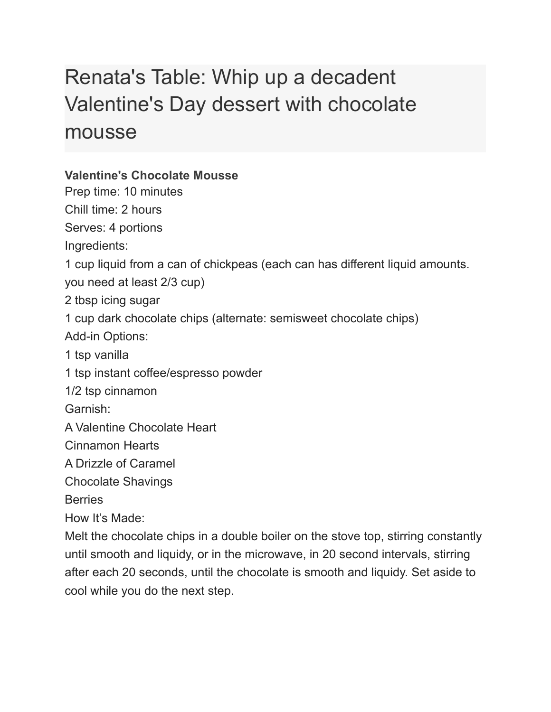## Renata's Table: Whip up a decadent Valentine's Day dessert with chocolate mousse

## **Valentine's Chocolate Mousse**

Prep time: 10 minutes

Chill time: 2 hours

Serves: 4 portions

Ingredients:

1 cup liquid from a can of chickpeas (each can has different liquid amounts.

you need at least 2/3 cup)

2 tbsp icing sugar

1 cup dark chocolate chips (alternate: semisweet chocolate chips)

Add-in Options:

1 tsp vanilla

1 tsp instant coffee/espresso powder

1/2 tsp cinnamon

Garnish:

A Valentine Chocolate Heart

Cinnamon Hearts

A Drizzle of Caramel

Chocolate Shavings

**Berries** 

How It's Made:

Melt the chocolate chips in a double boiler on the stove top, stirring constantly until smooth and liquidy, or in the microwave, in 20 second intervals, stirring after each 20 seconds, until the chocolate is smooth and liquidy. Set aside to cool while you do the next step.